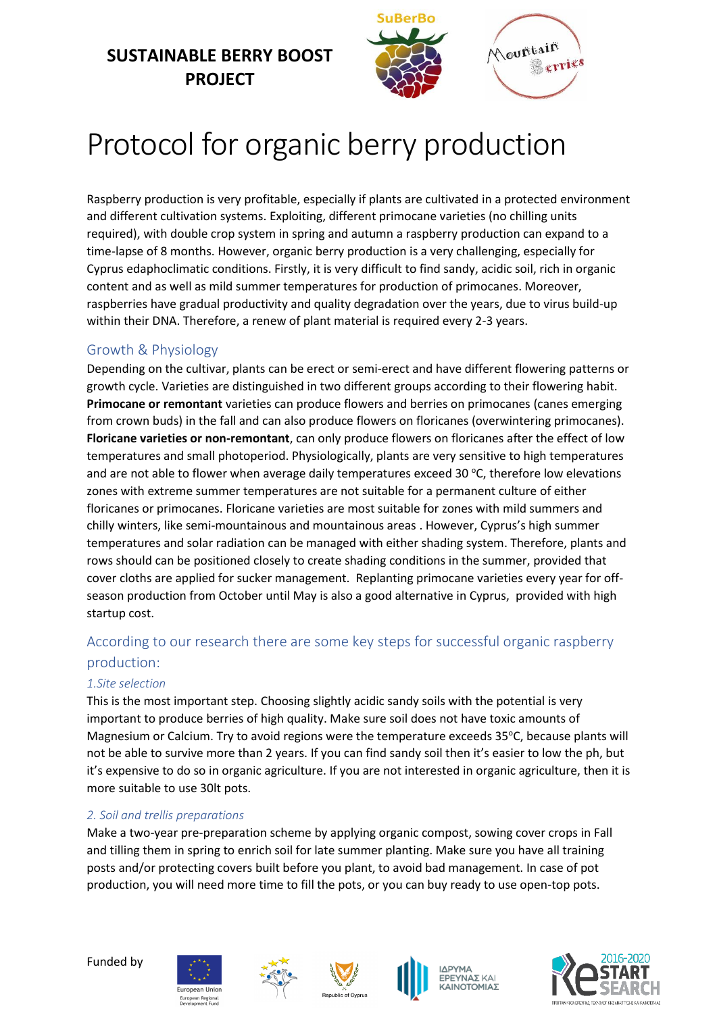## **SUSTAINABLE BERRY BOOST PROJECT**



# Protocol for organic berry production

Raspberry production is very profitable, especially if plants are cultivated in a protected environment and different cultivation systems. Exploiting, different primocane varieties (no chilling units required), with double crop system in spring and autumn a raspberry production can expand to a time-lapse of 8 months. However, organic berry production is a very challenging, especially for Cyprus edaphoclimatic conditions. Firstly, it is very difficult to find sandy, acidic soil, rich in organic content and as well as mild summer temperatures for production of primocanes. Moreover, raspberries have gradual productivity and quality degradation over the years, due to virus build-up within their DNA. Therefore, a renew of plant material is required every 2-3 years.

### Growth & Physiology

Depending on the cultivar, plants can be erect or semi-erect and have different flowering patterns or growth cycle. Varieties are distinguished in two different groups according to their flowering habit. **Primocane or remontant** varieties can produce flowers and berries on primocanes (canes emerging from crown buds) in the fall and can also produce flowers on floricanes (overwintering primocanes). **Floricane varieties or non-remontant**, can only produce flowers on floricanes after the effect of low temperatures and small photoperiod. Physiologically, plants are very sensitive to high temperatures and are not able to flower when average daily temperatures exceed 30  $\degree$ C, therefore low elevations zones with extreme summer temperatures are not suitable for a permanent culture of either floricanes or primocanes. Floricane varieties are most suitable for zones with mild summers and chilly winters, like semi-mountainous and mountainous areas . However, Cyprus's high summer temperatures and solar radiation can be managed with either shading system. Therefore, plants and rows should can be positioned closely to create shading conditions in the summer, provided that cover cloths are applied for sucker management. Replanting primocane varieties every year for offseason production from October until May is also a good alternative in Cyprus, provided with high startup cost.

## According to our research there are some key steps for successful organic raspberry production:

#### *1.Site selection*

This is the most important step. Choosing slightly acidic sandy soils with the potential is very important to produce berries of high quality. Make sure soil does not have toxic amounts of Magnesium or Calcium. Try to avoid regions were the temperature exceeds 35°C, because plants will not be able to survive more than 2 years. If you can find sandy soil then it's easier to low the ph, but it's expensive to do so in organic agriculture. If you are not interested in organic agriculture, then it is more suitable to use 30lt pots.

#### *2. Soil and trellis preparations*

Make a two-year pre-preparation scheme by applying organic compost, sowing cover crops in Fall and tilling them in spring to enrich soil for late summer planting. Make sure you have all training posts and/or protecting covers built before you plant, to avoid bad management. In case of pot production, you will need more time to fill the pots, or you can buy ready to use open-top pots.









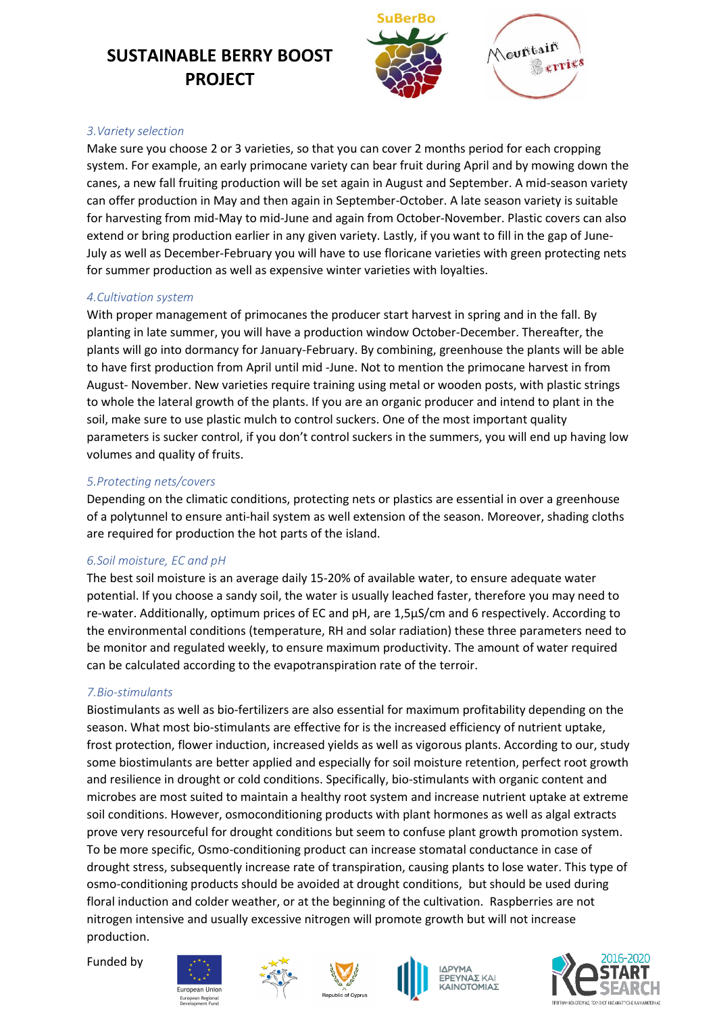## **SUSTAINABLE BERRY BOOST PROJECT**



#### *3.Variety selection*

Make sure you choose 2 or 3 varieties, so that you can cover 2 months period for each cropping system. For example, an early primocane variety can bear fruit during April and by mowing down the canes, a new fall fruiting production will be set again in August and September. A mid-season variety can offer production in May and then again in September-October. A late season variety is suitable for harvesting from mid-May to mid-June and again from October-November. Plastic covers can also extend or bring production earlier in any given variety. Lastly, if you want to fill in the gap of June-July as well as December-February you will have to use floricane varieties with green protecting nets for summer production as well as expensive winter varieties with loyalties.

#### *4.Cultivation system*

With proper management of primocanes the producer start harvest in spring and in the fall. By planting in late summer, you will have a production window October-December. Thereafter, the plants will go into dormancy for January-February. By combining, greenhouse the plants will be able to have first production from April until mid -June. Not to mention the primocane harvest in from August- November. New varieties require training using metal or wooden posts, with plastic strings to whole the lateral growth of the plants. If you are an organic producer and intend to plant in the soil, make sure to use plastic mulch to control suckers. One of the most important quality parameters is sucker control, if you don't control suckers in the summers, you will end up having low volumes and quality of fruits.

#### *5.Protecting nets/covers*

Depending on the climatic conditions, protecting nets or plastics are essential in over a greenhouse of a polytunnel to ensure anti-hail system as well extension of the season. Moreover, shading cloths are required for production the hot parts of the island.

#### *6.Soil moisture, EC and pH*

The best soil moisture is an average daily 15-20% of available water, to ensure adequate water potential. If you choose a sandy soil, the water is usually leached faster, therefore you may need to re-water. Additionally, optimum prices of EC and pH, are 1,5μS/cm and 6 respectively. According to the environmental conditions (temperature, RH and solar radiation) these three parameters need to be monitor and regulated weekly, to ensure maximum productivity. The amount of water required can be calculated according to the evapotranspiration rate of the terroir.

#### *7.Bio-stimulants*

Biostimulants as well as bio-fertilizers are also essential for maximum profitability depending on the season. What most bio-stimulants are effective for is the increased efficiency of nutrient uptake, frost protection, flower induction, increased yields as well as vigorous plants. According to our, study some biostimulants are better applied and especially for soil moisture retention, perfect root growth and resilience in drought or cold conditions. Specifically, bio-stimulants with organic content and microbes are most suited to maintain a healthy root system and increase nutrient uptake at extreme soil conditions. However, osmoconditioning products with plant hormones as well as algal extracts prove very resourceful for drought conditions but seem to confuse plant growth promotion system. To be more specific, Osmo-conditioning product can increase stomatal conductance in case of drought stress, subsequently increase rate of transpiration, causing plants to lose water. This type of osmo-conditioning products should be avoided at drought conditions, but should be used during floral induction and colder weather, or at the beginning of the cultivation. Raspberries are not nitrogen intensive and usually excessive nitrogen will promote growth but will not increase production.

Funded by